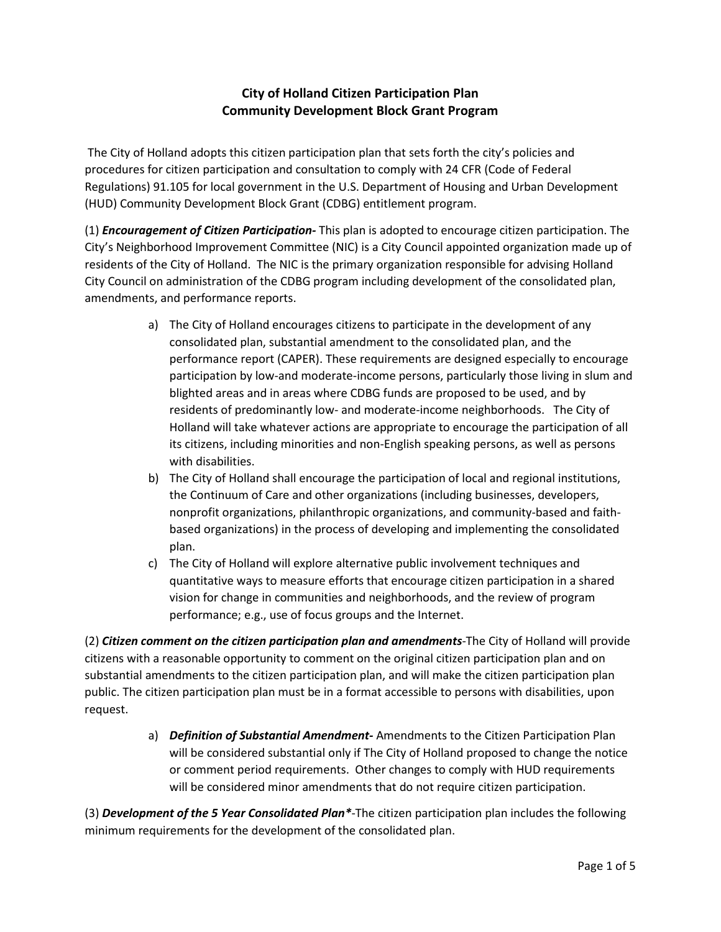## **City of Holland Citizen Participation Plan Community Development Block Grant Program**

The City of Holland adopts this citizen participation plan that sets forth the city's policies and procedures for citizen participation and consultation to comply with 24 CFR (Code of Federal Regulations) 91.105 for local government in the U.S. Department of Housing and Urban Development (HUD) Community Development Block Grant (CDBG) entitlement program.

(1) *Encouragement of Citizen Participation-* This plan is adopted to encourage citizen participation. The City's Neighborhood Improvement Committee (NIC) is a City Council appointed organization made up of residents of the City of Holland. The NIC is the primary organization responsible for advising Holland City Council on administration of the CDBG program including development of the consolidated plan, amendments, and performance reports.

- a) The City of Holland encourages citizens to participate in the development of any consolidated plan, substantial amendment to the consolidated plan, and the performance report (CAPER). These requirements are designed especially to encourage participation by low-and moderate-income persons, particularly those living in slum and blighted areas and in areas where CDBG funds are proposed to be used, and by residents of predominantly low- and moderate-income neighborhoods. The City of Holland will take whatever actions are appropriate to encourage the participation of all its citizens, including minorities and non-English speaking persons, as well as persons with disabilities.
- b) The City of Holland shall encourage the participation of local and regional institutions, the Continuum of Care and other organizations (including businesses, developers, nonprofit organizations, philanthropic organizations, and community-based and faithbased organizations) in the process of developing and implementing the consolidated plan.
- c) The City of Holland will explore alternative public involvement techniques and quantitative ways to measure efforts that encourage citizen participation in a shared vision for change in communities and neighborhoods, and the review of program performance; e.g., use of focus groups and the Internet.

(2) *Citizen comment on the citizen participation plan and amendments*-The City of Holland will provide citizens with a reasonable opportunity to comment on the original citizen participation plan and on substantial amendments to the citizen participation plan, and will make the citizen participation plan public. The citizen participation plan must be in a format accessible to persons with disabilities, upon request.

> a) *Definition of Substantial Amendment-* Amendments to the Citizen Participation Plan will be considered substantial only if The City of Holland proposed to change the notice or comment period requirements. Other changes to comply with HUD requirements will be considered minor amendments that do not require citizen participation.

(3) *Development of the 5 Year Consolidated Plan\**-The citizen participation plan includes the following minimum requirements for the development of the consolidated plan.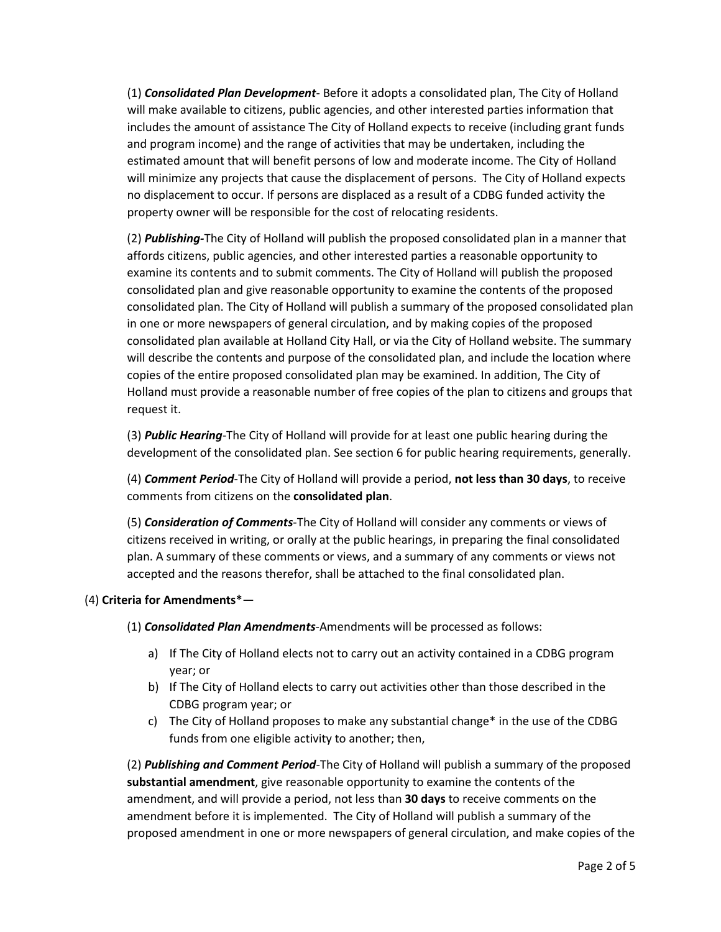(1) *Consolidated Plan Development*- Before it adopts a consolidated plan, The City of Holland will make available to citizens, public agencies, and other interested parties information that includes the amount of assistance The City of Holland expects to receive (including grant funds and program income) and the range of activities that may be undertaken, including the estimated amount that will benefit persons of low and moderate income. The City of Holland will minimize any projects that cause the displacement of persons. The City of Holland expects no displacement to occur. If persons are displaced as a result of a CDBG funded activity the property owner will be responsible for the cost of relocating residents.

(2) *Publishing-*The City of Holland will publish the proposed consolidated plan in a manner that affords citizens, public agencies, and other interested parties a reasonable opportunity to examine its contents and to submit comments. The City of Holland will publish the proposed consolidated plan and give reasonable opportunity to examine the contents of the proposed consolidated plan. The City of Holland will publish a summary of the proposed consolidated plan in one or more newspapers of general circulation, and by making copies of the proposed consolidated plan available at Holland City Hall, or via the City of Holland website. The summary will describe the contents and purpose of the consolidated plan, and include the location where copies of the entire proposed consolidated plan may be examined. In addition, The City of Holland must provide a reasonable number of free copies of the plan to citizens and groups that request it.

(3) *Public Hearing*-The City of Holland will provide for at least one public hearing during the development of the consolidated plan. See section 6 for public hearing requirements, generally.

(4) *Comment Period*-The City of Holland will provide a period, **not less than 30 days**, to receive comments from citizens on the **consolidated plan**.

(5) *Consideration of Comments*-The City of Holland will consider any comments or views of citizens received in writing, or orally at the public hearings, in preparing the final consolidated plan. A summary of these comments or views, and a summary of any comments or views not accepted and the reasons therefor, shall be attached to the final consolidated plan.

## (4) **Criteria for Amendments\***—

(1) *Consolidated Plan Amendments*-Amendments will be processed as follows:

- a) If The City of Holland elects not to carry out an activity contained in a CDBG program year; or
- b) If The City of Holland elects to carry out activities other than those described in the CDBG program year; or
- c) The City of Holland proposes to make any substantial change\* in the use of the CDBG funds from one eligible activity to another; then,

(2) *Publishing and Comment Period*-The City of Holland will publish a summary of the proposed **substantial amendment**, give reasonable opportunity to examine the contents of the amendment, and will provide a period, not less than **30 days** to receive comments on the amendment before it is implemented. The City of Holland will publish a summary of the proposed amendment in one or more newspapers of general circulation, and make copies of the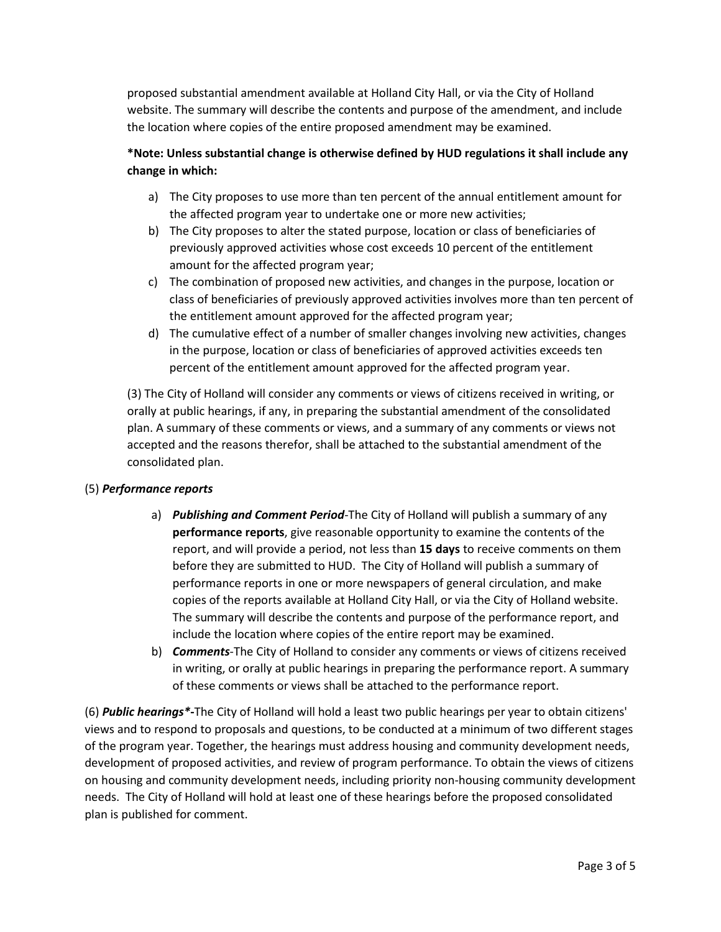proposed substantial amendment available at Holland City Hall, or via the City of Holland website. The summary will describe the contents and purpose of the amendment, and include the location where copies of the entire proposed amendment may be examined.

## **\*Note: Unless substantial change is otherwise defined by HUD regulations it shall include any change in which:**

- a) The City proposes to use more than ten percent of the annual entitlement amount for the affected program year to undertake one or more new activities;
- b) The City proposes to alter the stated purpose, location or class of beneficiaries of previously approved activities whose cost exceeds 10 percent of the entitlement amount for the affected program year;
- c) The combination of proposed new activities, and changes in the purpose, location or class of beneficiaries of previously approved activities involves more than ten percent of the entitlement amount approved for the affected program year;
- d) The cumulative effect of a number of smaller changes involving new activities, changes in the purpose, location or class of beneficiaries of approved activities exceeds ten percent of the entitlement amount approved for the affected program year.

(3) The City of Holland will consider any comments or views of citizens received in writing, or orally at public hearings, if any, in preparing the substantial amendment of the consolidated plan. A summary of these comments or views, and a summary of any comments or views not accepted and the reasons therefor, shall be attached to the substantial amendment of the consolidated plan.

## (5) *Performance reports*

- a) *Publishing and Comment Period*-The City of Holland will publish a summary of any **performance reports**, give reasonable opportunity to examine the contents of the report, and will provide a period, not less than **15 days** to receive comments on them before they are submitted to HUD. The City of Holland will publish a summary of performance reports in one or more newspapers of general circulation, and make copies of the reports available at Holland City Hall, or via the City of Holland website. The summary will describe the contents and purpose of the performance report, and include the location where copies of the entire report may be examined.
- b) *Comments*-The City of Holland to consider any comments or views of citizens received in writing, or orally at public hearings in preparing the performance report. A summary of these comments or views shall be attached to the performance report.

(6) *Public hearings\****-**The City of Holland will hold a least two public hearings per year to obtain citizens' views and to respond to proposals and questions, to be conducted at a minimum of two different stages of the program year. Together, the hearings must address housing and community development needs, development of proposed activities, and review of program performance. To obtain the views of citizens on housing and community development needs, including priority non-housing community development needs. The City of Holland will hold at least one of these hearings before the proposed consolidated plan is published for comment.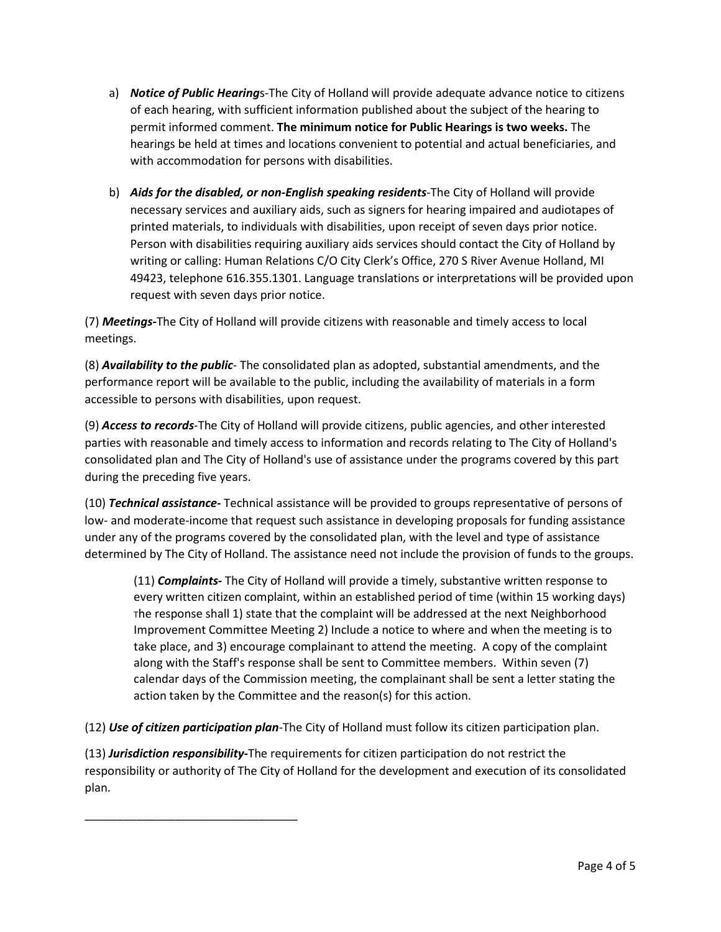- a) *Notice of Public Hearing*s-The City of Holland will provide adequate advance notice to citizens of each hearing, with sufficient information published about the subject of the hearing to permit informed comment. **The minimum notice for Public Hearings is two weeks.** The hearings be held at times and locations convenient to potential and actual beneficiaries, and with accommodation for persons with disabilities.
- b) *Aids for the disabled, or non-English speaking residents*-The City of Holland will provide necessary services and auxiliary aids, such as signers for hearing impaired and audiotapes of printed materials, to individuals with disabilities, upon receipt of seven days prior notice. Person with disabilities requiring auxiliary aids services should contact the City of Holland by writing or calling: Human Relations C/O City Clerk's Office, 270 S River Avenue Holland, MI 49423, telephone 616.355.1301. Language translations or interpretations will be provided upon request with seven days prior notice.

(7) *Meetings-*The City of Holland will provide citizens with reasonable and timely access to local meetings.

(8) *Availability to the public*- The consolidated plan as adopted, substantial amendments, and the performance report will be available to the public, including the availability of materials in a form accessible to persons with disabilities, upon request.

(9) *Access to records*-The City of Holland will provide citizens, public agencies, and other interested parties with reasonable and timely access to information and records relating to The City of Holland's consolidated plan and The City of Holland's use of assistance under the programs covered by this part during the preceding five years.

(10) *Technical assistance-* Technical assistance will be provided to groups representative of persons of low- and moderate-income that request such assistance in developing proposals for funding assistance under any of the programs covered by the consolidated plan, with the level and type of assistance determined by The City of Holland. The assistance need not include the provision of funds to the groups.

(11) *Complaints-* The City of Holland will provide a timely, substantive written response to every written citizen complaint, within an established period of time (within 15 working days) The response shall 1) state that the complaint will be addressed at the next Neighborhood Improvement Committee Meeting 2) Include a notice to where and when the meeting is to take place, and 3) encourage complainant to attend the meeting. A copy of the complaint along with the Staff's response shall be sent to Committee members. Within seven (7) calendar days of the Commission meeting, the complainant shall be sent a letter stating the action taken by the Committee and the reason(s) for this action.

(12) *Use of citizen participation plan*-The City of Holland must follow its citizen participation plan.

\_\_\_\_\_\_\_\_\_\_\_\_\_\_\_\_\_\_\_\_\_\_\_\_\_\_\_\_\_\_\_\_\_

(13) *Jurisdiction responsibility-*The requirements for citizen participation do not restrict the responsibility or authority of The City of Holland for the development and execution of its consolidated plan.